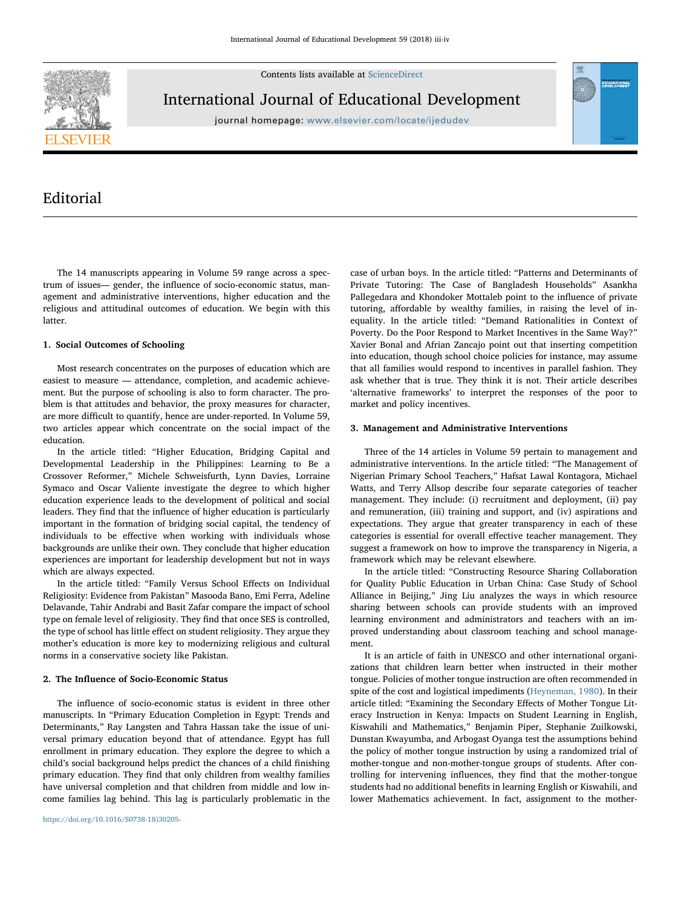Contents lists available at [ScienceDirect](http://www.sciencedirect.com/science/journal/07380593)



International Journal of Educational Development

journal homepage: [www.elsevier.com/locate/ijedudev](https://www.elsevier.com/locate/ijedudev)



# Editorial

The 14 manuscripts appearing in Volume 59 range across a spectrum of issues— gender, the influence of socio-economic status, management and administrative interventions, higher education and the religious and attitudinal outcomes of education. We begin with this **latter** 

# 1. Social Outcomes of Schooling

Most research concentrates on the purposes of education which are easiest to measure — attendance, completion, and academic achievement. But the purpose of schooling is also to form character. The problem is that attitudes and behavior, the proxy measures for character, are more difficult to quantify, hence are under-reported. In Volume 59, two articles appear which concentrate on the social impact of the education.

In the article titled: "Higher Education, Bridging Capital and Developmental Leadership in the Philippines: Learning to Be a Crossover Reformer," Michele Schweisfurth, Lynn Davies, Lorraine Symaco and Oscar Valiente investigate the degree to which higher education experience leads to the development of political and social leaders. They find that the influence of higher education is particularly important in the formation of bridging social capital, the tendency of individuals to be effective when working with individuals whose backgrounds are unlike their own. They conclude that higher education experiences are important for leadership development but not in ways which are always expected.

In the article titled: "Family Versus School Effects on Individual Religiosity: Evidence from Pakistan" Masooda Bano, Emi Ferra, Adeline Delavande, Tahir Andrabi and Basit Zafar compare the impact of school type on female level of religiosity. They find that once SES is controlled, the type of school has little effect on student religiosity. They argue they mother's education is more key to modernizing religious and cultural norms in a conservative society like Pakistan.

# 2. The Influence of Socio-Economic Status

The influence of socio-economic status is evident in three other manuscripts. In "Primary Education Completion in Egypt: Trends and Determinants," Ray Langsten and Tahra Hassan take the issue of universal primary education beyond that of attendance. Egypt has full enrollment in primary education. They explore the degree to which a child's social background helps predict the chances of a child finishing primary education. They find that only children from wealthy families have universal completion and that children from middle and low income families lag behind. This lag is particularly problematic in the case of urban boys. In the article titled: "Patterns and Determinants of Private Tutoring: The Case of Bangladesh Households" Asankha Pallegedara and Khondoker Mottaleb point to the influence of private tutoring, affordable by wealthy families, in raising the level of inequality. In the article titled: "Demand Rationalities in Context of Poverty. Do the Poor Respond to Market Incentives in the Same Way?" Xavier Bonal and Afrian Zancajo point out that inserting competition into education, though school choice policies for instance, may assume that all families would respond to incentives in parallel fashion. They ask whether that is true. They think it is not. Their article describes 'alternative frameworks' to interpret the responses of the poor to market and policy incentives.

## 3. Management and Administrative Interventions

Three of the 14 articles in Volume 59 pertain to management and administrative interventions. In the article titled: "The Management of Nigerian Primary School Teachers," Hafsat Lawal Kontagora, Michael Watts, and Terry Allsop describe four separate categories of teacher management. They include: (i) recruitment and deployment, (ii) pay and remuneration, (iii) training and support, and (iv) aspirations and expectations. They argue that greater transparency in each of these categories is essential for overall effective teacher management. They suggest a framework on how to improve the transparency in Nigeria, a framework which may be relevant elsewhere.

In the article titled: "Constructing Resource Sharing Collaboration for Quality Public Education in Urban China: Case Study of School Alliance in Beijing," Jing Liu analyzes the ways in which resource sharing between schools can provide students with an improved learning environment and administrators and teachers with an improved understanding about classroom teaching and school management.

It is an article of faith in UNESCO and other international organizations that children learn better when instructed in their mother tongue. Policies of mother tongue instruction are often recommended in spite of the cost and logistical impediments ([Heyneman, 1980](#page-1-0)). In their article titled: "Examining the Secondary Effects of Mother Tongue Literacy Instruction in Kenya: Impacts on Student Learning in English, Kiswahili and Mathematics," Benjamin Piper, Stephanie Zuilkowski, Dunstan Kwayumba, and Arbogast Oyanga test the assumptions behind the policy of mother tongue instruction by using a randomized trial of mother-tongue and non-mother-tongue groups of students. After controlling for intervening influences, they find that the mother-tongue students had no additional benefits in learning English or Kiswahili, and lower Mathematics achievement. In fact, assignment to the mother